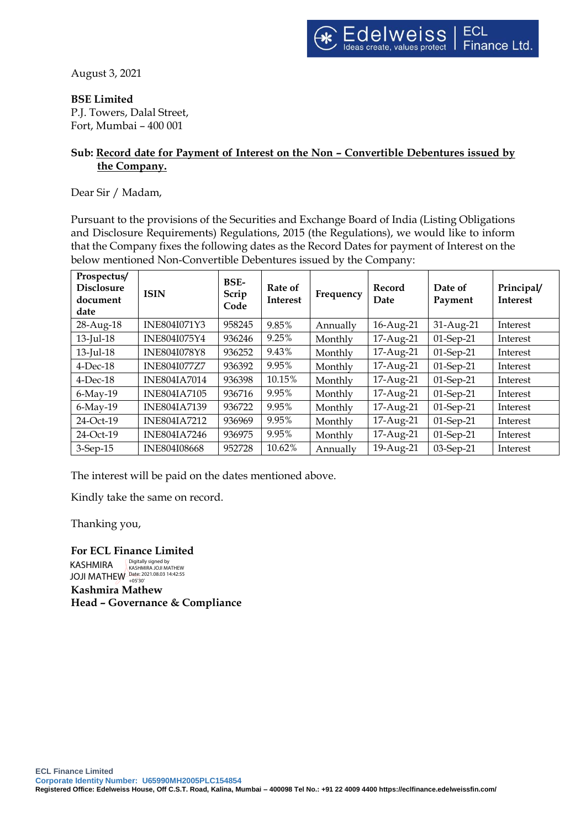August 3, 2021

## **BSE Limited**

P.J. Towers, Dalal Street, Fort, Mumbai – 400 001

## **Sub: Record date for Payment of Interest on the Non – Convertible Debentures issued by the Company.**

Dear Sir / Madam,

Pursuant to the provisions of the Securities and Exchange Board of India (Listing Obligations and Disclosure Requirements) Regulations, 2015 (the Regulations), we would like to inform that the Company fixes the following dates as the Record Dates for payment of Interest on the below mentioned Non-Convertible Debentures issued by the Company:

| Prospectus/<br><b>Disclosure</b><br>document<br>date | <b>ISIN</b>         | <b>BSE-</b><br>Scrip<br>Code | Rate of<br><b>Interest</b> | Frequency | Record<br>Date | Date of<br>Payment | Principal/<br><b>Interest</b> |
|------------------------------------------------------|---------------------|------------------------------|----------------------------|-----------|----------------|--------------------|-------------------------------|
| 28-Aug-18                                            | INE804I071Y3        | 958245                       | 9.85%                      | Annually  | 16-Aug-21      | 31-Aug-21          | Interest                      |
| 13-Jul-18                                            | INE804I075Y4        | 936246                       | 9.25%                      | Monthly   | 17-Aug-21      | 01-Sep-21          | Interest                      |
| 13-Jul-18                                            | <b>INE804I078Y8</b> | 936252                       | 9.43%                      | Monthly   | 17-Aug-21      | $01$ -Sep-21       | Interest                      |
| $4$ -Dec-18                                          | <b>INE804I077Z7</b> | 936392                       | 9.95%                      | Monthly   | 17-Aug-21      | 01-Sep-21          | Interest                      |
| $4$ -Dec-18                                          | <b>INE804IA7014</b> | 936398                       | 10.15%                     | Monthly   | 17-Aug-21      | 01-Sep-21          | Interest                      |
| $6$ -May-19                                          | <b>INE804IA7105</b> | 936716                       | 9.95%                      | Monthly   | 17-Aug-21      | 01-Sep-21          | Interest                      |
| $6$ -May-19                                          | <b>INE804IA7139</b> | 936722                       | 9.95%                      | Monthly   | 17-Aug-21      | 01-Sep-21          | Interest                      |
| 24-Oct-19                                            | <b>INE804IA7212</b> | 936969                       | 9.95%                      | Monthly   | 17-Aug-21      | $01$ -Sep-21       | Interest                      |
| 24-Oct-19                                            | <b>INE804IA7246</b> | 936975                       | 9.95%                      | Monthly   | 17-Aug-21      | 01-Sep-21          | Interest                      |
| $3-Sep-15$                                           | INE804I08668        | 952728                       | 10.62%                     | Annually  | 19-Aug-21      | 03-Sep-21          | Interest                      |

The interest will be paid on the dates mentioned above.

Kindly take the same on record.

Thanking you,

**For ECL Finance Limited Kashmira Mathew Head – Governance & Compliance** KASHMIRA JOJI MATHEW Digitally signed by KASHMIRA JOJI MATHEW Date: 2021.08.03 14:42:55 +05'30'